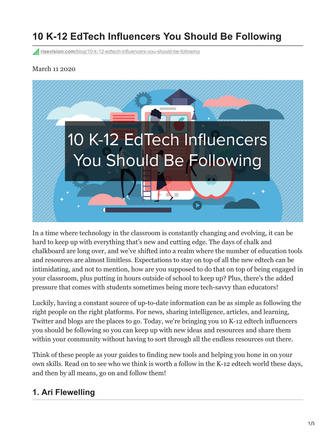# **10 K-12 EdTech Influencers You Should Be Following**

**risevision.com**[/blog/10-k-12-edtech-influencers-you-should-be-following](https://www.risevision.com/blog/10-k-12-edtech-influencers-you-should-be-following)

#### March 11 2020



In a time where technology in the classroom is constantly changing and evolving, it can be hard to keep up with everything that's new and cutting edge. The days of chalk and chalkboard are long over, and we've shifted into a realm where the number of education tools and resources are almost limitless. Expectations to stay on top of all the new edtech can be intimidating, and not to mention, how are you supposed to do that on top of being engaged in your classroom, plus putting in hours outside of school to keep up? Plus, there's the added pressure that comes with students sometimes being more tech-savvy than educators!

Luckily, having a constant source of up-to-date information can be as simple as following the right people on the right platforms. For news, sharing intelligence, articles, and learning, Twitter and blogs are the places to go. Today, we're bringing you 10 K-12 edtech influencers you should be following so you can keep up with new ideas and resources and share them within your community without having to sort through all the endless resources out there.

Think of these people as your guides to finding new tools and helping you hone in on your own skills. Read on to see who we think is worth a follow in the K-12 edtech world these days, and then by all means, go on and follow them!

#### **1. Ari Flewelling**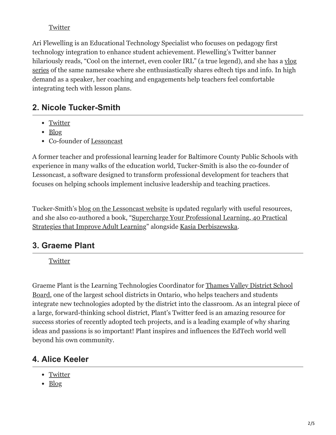#### **[Twitter](https://twitter.com/EdTechAri)**

Ari Flewelling is an Educational Technology Specialist who focuses on pedagogy first technology integration to enhance student achievement. Flewelling's Twitter banner [hilariously reads, "Cool on the internet, even cooler IRL" \(a true legend\), and she has a vlog](https://www.youtube.com/watch?v=H9lR43zXiA0) series of the same namesake where she enthusiastically shares edtech tips and info. In high demand as a speaker, her coaching and engagements help teachers feel comfortable integrating tech with lesson plans.

#### **2. Nicole Tucker-Smith**

- [Twitter](https://twitter.com/mstuckersmith)
- [Blog](https://www.lessoncast.com/)
- Co-founder of [Lessoncast](https://www.lessoncast.com/)

A former teacher and professional learning leader for Baltimore County Public Schools with experience in many walks of the education world, Tucker-Smith is also the co-founder of Lessoncast, a software designed to transform professional development for teachers that focuses on helping schools implement inclusive leadership and teaching practices.

Tucker-Smith's [blog on the Lessoncast website](https://www.lessoncast.com/) is updated regularly with useful resources, [and she also co-authored a book, "Supercharge Your Professional Learning, 40 Practical](http://castpublishing.org/books-media/supercharge-your-professional-learning/) Strategies that Improve Adult Learning" alongside [Kasia Derbiszewska.](https://twitter.com/kasia_udlworks)

#### **3. Graeme Plant**

**[Twitter](https://twitter.com/monsieur_plant1)** 

[Graeme Plant is the Learning Technologies Coordinator for Thames Valley District School](https://www.tvdsb.ca/en/index.aspx) Board, one of the largest school districts in Ontario, who helps teachers and students integrate new technologies adopted by the district into the classroom. As an integral piece of a large, forward-thinking school district, Plant's Twitter feed is an amazing resource for success stories of recently adopted tech projects, and is a leading example of why sharing ideas and passions is so important! Plant inspires and influences the EdTech world well beyond his own community.

#### **4. Alice Keeler**

- [Twitter](https://twitter.com/alicekeeler)
- [Blog](https://alicekeeler.com/)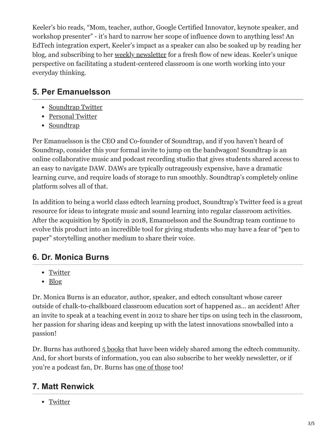Keeler's bio reads, "Mom, teacher, author, Google Certified Innovator, keynote speaker, and workshop presenter" - it's hard to narrow her scope of influence down to anything less! An EdTech integration expert, Keeler's impact as a speaker can also be soaked up by reading her blog, and subscribing to her [weekly newsletter](https://app.birdsend.co/forms/883/hosted) for a fresh flow of new ideas. Keeler's unique perspective on facilitating a student-centered classroom is one worth working into your everyday thinking.

### **5. Per Emanuelsson**

- [Soundtrap Twitter](https://twitter.com/soundtrap)
- [Personal Twitter](https://twitter.com/peema)
- [Soundtrap](https://www.soundtrap.com/edu/)

Per Emanuelsson is the CEO and Co-founder of Soundtrap, and if you haven't heard of Soundtrap, consider this your formal invite to jump on the bandwagon! Soundtrap is an online collaborative music and podcast recording studio that gives students shared access to an easy to navigate DAW. DAWs are typically outrageously expensive, have a dramatic learning curve, and require loads of storage to run smoothly. Soundtrap's completely online platform solves all of that.

In addition to being a world class edtech learning product, Soundtrap's Twitter feed is a great resource for ideas to integrate music and sound learning into regular classroom activities. After the acquisition by Spotify in 2018, Emanuelsson and the Soundtrap team continue to evolve this product into an incredible tool for giving students who may have a fear of "pen to paper" storytelling another medium to share their voice.

### **6. Dr. Monica Burns**

- [Twitter](https://twitter.com/ClassTechTips)
- $\bullet$  [Blog](https://classtechtips.com/blog/)

Dr. Monica Burns is an educator, author, speaker, and edtech consultant whose career outside of chalk-to-chalkboard classroom education sort of happened as… an accident! After an invite to speak at a teaching event in 2012 to share her tips on using tech in the classroom, her passion for sharing ideas and keeping up with the latest innovations snowballed into a passion!

Dr. Burns has authored [5 books](https://classtechtips.com/books/) that have been widely shared among the edtech community. And, for short bursts of information, you can also subscribe to her weekly newsletter, or if you're a podcast fan, Dr. Burns has [one of those](https://classtechtips.com/category/podcast/) too!

### **7. Matt Renwick**

• [Twitter](https://twitter.com/ReadByExample)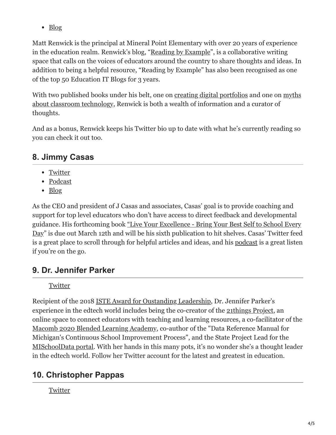• [Blog](https://readingbyexample.com/)

Matt Renwick is the principal at Mineral Point Elementary with over 20 years of experience in the education realm. Renwick's blog, ["Reading by Example](https://readingbyexample.com/)", is a collaborative writing space that calls on the voices of educators around the country to share thoughts and ideas. In addition to being a helpful resource, "Reading by Example" has also been recognised as one of the top 50 Education IT Blogs for 3 years.

[With two published books under his belt, one on c](https://mattrenwick.com/publications/5-myths-about-classroom-technology/)[reating digital portfolios](https://mattrenwick.com/publications/digital-portfolios-in-the-classroom/) [and one on myths](https://mattrenwick.com/publications/5-myths-about-classroom-technology/) about classroom technology, Renwick is both a wealth of information and a curator of thoughts.

And as a bonus, Renwick keeps his Twitter bio up to date with what he's currently reading so you can check it out too.

# **8. Jimmy Casas**

- [Twitter](https://twitter.com/casas_jimmy)
- [Podcast](https://www.jimmycasas.com/podcast)
- [Blog](https://www.jimmycasas.com/blog/)

As the CEO and president of J Casas and associates, Casas' goal is to provide coaching and support for top level educators who don't have access to direct feedback and developmental guidance. His forthcoming book "Live Your Excellence - Bring Your Best Self to School Every [Day" is due out March 12th and will be his sixth publication to hit shelves. Casas' Twitter feed](https://www.jimmycasas.com/publications) is a great place to scroll through for helpful articles and ideas, and his [podcast](https://www.jimmycasas.com/podcast) is a great listen if you're on the go.

# **9. Dr. Jennifer Parker**

#### **[Twitter](https://twitter.com/drjennparker)**

Recipient of the 2018 [ISTE Award for Oustanding Leadership](https://www.iste.org/explore/Press-Releases/Leaders%20in%20Edtech%20Honored%20with%20Prestigious%20ISTE%20Awards?articleid=2200), Dr. Jennifer Parker's experience in the edtech world includes being the co-creator of the **[21things Project](https://www.21thingsproject.net/)**, an online space to connect educators with teaching and learning resources, a co-facilitator of the [Macomb 2020 Blended Learning Academy](https://www.macomb2020.net/), co-author of the "Data Reference Manual for Michigan's Continuous School Improvement Process", and the State Project Lead for the [MISchoolData portal](https://www.mischooldata.org/). With her hands in this many pots, it's no wonder she's a thought leader in the edtech world. Follow her Twitter account for the latest and greatest in education.

# **10. Christopher Pappas**

#### **[Twitter](https://twitter.com/cpappas)**